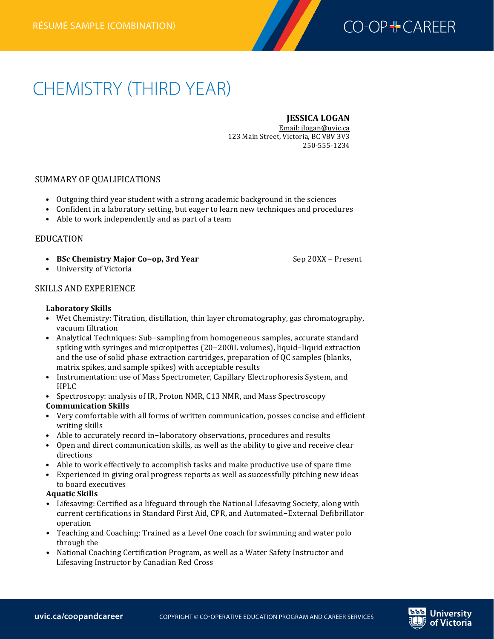

# CHEMISTRY (THIRD YEAR) **Chemistryrésumé (third year)—combination**

# **JESSICA LOGAN**

Email: jlogan@uvic.ca 123 Main Street, Victoria, BC V8V 3V3 250-‐555-‐1234

# SUMMARY OF OUALIFICATIONS

- Outgoing third year student with a strong academic background in the sciences
- Confident in a laboratory setting, but eager to learn new techniques and procedures
- $\bullet$  Able to work independently and as part of a team

## EDUCATION

• **BSc Chemistry Major Co-op, 3rd Year** Sep 20XX – Present

• University of Victoria

## SKILLS AND EXPERIENCE

#### Laboratory Skills

- Wet Chemistry: Titration, distillation, thin layer chromatography, gas chromatography, vacuum filtration
- Analytical Techniques: Sub-sampling from homogeneous samples, accurate standard spiking with syringes and micropipettes  $(20-200)$ L volumes), liquid-liquid extraction and the use of solid phase extraction cartridges, preparation of QC samples (blanks, matrix spikes, and sample spikes) with acceptable results
- Instrumentation: use of Mass Spectrometer, Capillary Electrophoresis System, and HPLC
- Spectroscopy: analysis of IR, Proton NMR, C13 NMR, and Mass Spectroscopy

### **Communication Skills**

- Very comfortable with all forms of written communication, posses concise and efficient writing skills
- Able to accurately record in-laboratory observations, procedures and results
- Open and direct communication skills, as well as the ability to give and receive clear directions
- Able to work effectively to accomplish tasks and make productive use of spare time
- Experienced in giving oral progress reports as well as successfully pitching new ideas to board executives

### **Aquatic 
 Skills**

- Lifesaving: Certified as a lifeguard through the National Lifesaving Society, along with current certifications in Standard First Aid, CPR, and Automated–External Defibrillator operation
- Teaching and Coaching: Trained as a Level One coach for swimming and water polo through the
- National Coaching Certification Program, as well as a Water Safety Instructor and Lifesaving Instructor by Canadian Red Cross

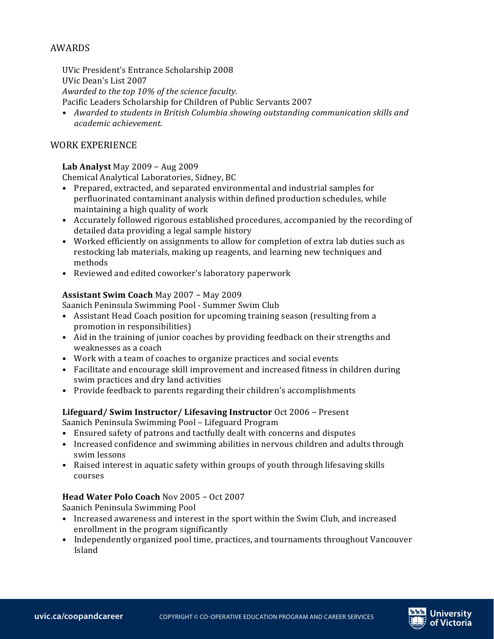# AWARDS

UVic President's Entrance Scholarship 2008 UVic Dean's List 2007 Awarded to the top 10% of the science faculty. Pacific Leaders Scholarship for Children of Public Servants 2007

• Awarded to students in British Columbia showing outstanding communication skills and *academic achievement.*

# WORK EXPERIENCE

## **Lab Analyst** May  $2009 - Aug 2009$

Chemical Analytical Laboratories, Sidney, BC

- Prepared, extracted, and separated environmental and industrial samples for perfluorinated contaminant analysis within defined production schedules, while maintaining a high quality of work
- Accurately followed rigorous established procedures, accompanied by the recording of detailed data providing a legal sample history
- Worked efficiently on assignments to allow for completion of extra lab duties such as restocking lab materials, making up reagents, and learning new techniques and methods
- Reviewed and edited coworker's laboratory paperwork

## **Assistant Swim Coach May 2007 - May 2009**

Saanich Peninsula Swimming Pool - Summer Swim Club

- Assistant Head Coach position for upcoming training season (resulting from a promotion in responsibilities)
- Aid in the training of junior coaches by providing feedback on their strengths and weaknesses as a coach
- Work with a team of coaches to organize practices and social events
- Facilitate and encourage skill improvement and increased fitness in children during swim practices and dry land activities
- Provide feedback to parents regarding their children's accomplishments

# Lifeguard/ Swim Instructor/ Lifesaving Instructor Oct 2006 - Present

Saanich Peninsula Swimming Pool - Lifeguard Program

- Ensured safety of patrons and tactfully dealt with concerns and disputes
- Increased confidence and swimming abilities in nervous children and adults through swim lessons
- Raised interest in aquatic safety within groups of youth through lifesaving skills courses

# **Head Water Polo Coach Nov 2005 - Oct 2007**

Saanich Peninsula Swimming Pool

- Increased awareness and interest in the sport within the Swim Club, and increased enrollment in the program significantly
- Independently organized pool time, practices, and tournaments throughout Vancouver Island